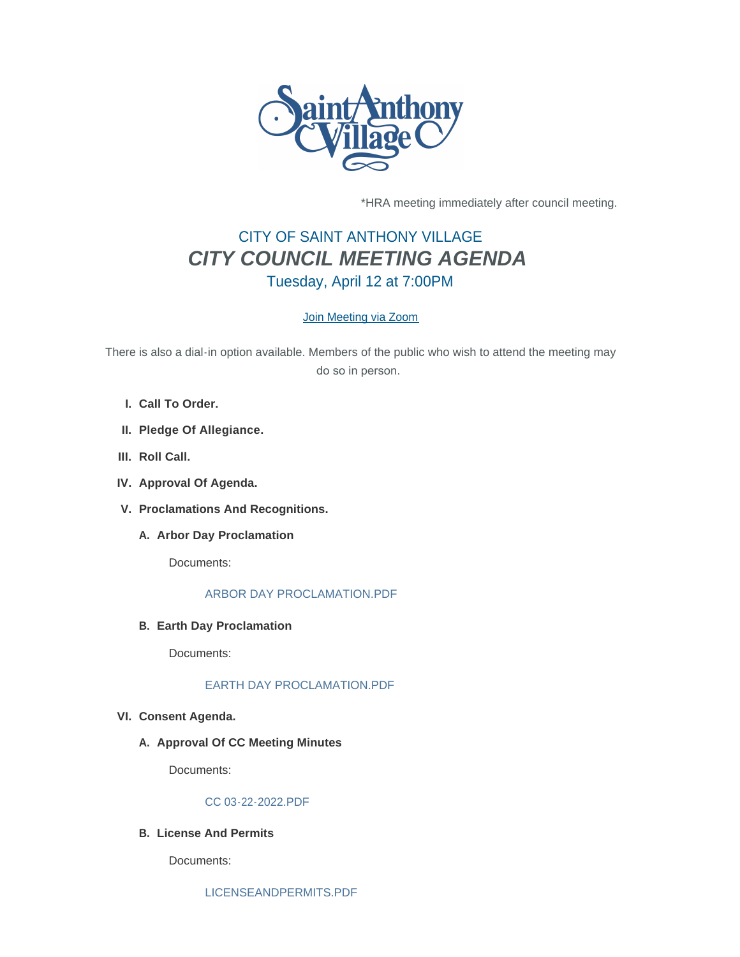

\*HRA meeting immediately after council meeting.

# CITY OF SAINT ANTHONY VILLAGE *CITY COUNCIL MEETING AGENDA* Tuesday, April 12 at 7:00PM

# [Join Meeting via Zoom](https://www.savmn.com/Calendar.aspx?EID=1570)

There is also a dial-in option available. Members of the public who wish to attend the meeting may do so in person.

- **Call To Order. I.**
- **Pledge Of Allegiance. II.**
- III. Roll Call.
- **Approval Of Agenda. IV.**
- **Proclamations And Recognitions. V.**
	- **A.** Arbor Day Proclamation

Documents:

## [ARBOR DAY PROCLAMATION.PDF](http://www.savmn.com/AgendaCenter/ViewFile/Item/858?fileID=6806)

**Earth Day Proclamation B.**

Documents:

# [EARTH DAY PROCLAMATION.PDF](http://www.savmn.com/AgendaCenter/ViewFile/Item/859?fileID=6807)

## **Consent Agenda. VI.**

A. Approval Of CC Meeting Minutes

Documents:

# [CC 03-22-2022.PDF](http://www.savmn.com/AgendaCenter/ViewFile/Item/851?fileID=6799)

**License And Permits B.**

Documents: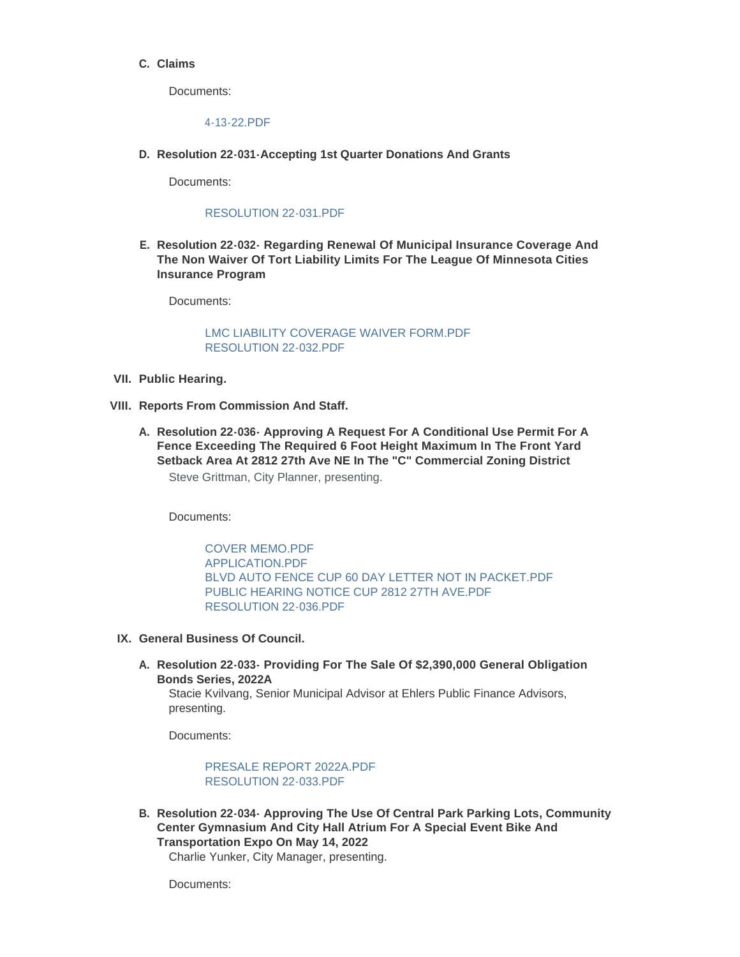## **Claims C.**

Documents:

[4-13-22.PDF](http://www.savmn.com/AgendaCenter/ViewFile/Item/852?fileID=6830)

**Resolution 22-031-Accepting 1st Quarter Donations And Grants D.**

Documents:

## [RESOLUTION 22-031.PDF](http://www.savmn.com/AgendaCenter/ViewFile/Item/862?fileID=6820)

**Resolution 22-032- Regarding Renewal Of Municipal Insurance Coverage And E. The Non Waiver Of Tort Liability Limits For The League Of Minnesota Cities Insurance Program**

Documents:

## [LMC LIABILITY COVERAGE WAIVER FORM.PDF](http://www.savmn.com/AgendaCenter/ViewFile/Item/856?fileID=6804) [RESOLUTION 22-032.PDF](http://www.savmn.com/AgendaCenter/ViewFile/Item/856?fileID=6821)

- **Public Hearing. VII.**
- **Reports From Commission And Staff. VIII.**
	- **Resolution 22-036- Approving A Request For A Conditional Use Permit For A A. Fence Exceeding The Required 6 Foot Height Maximum In The Front Yard Setback Area At 2812 27th Ave NE In The "C" Commercial Zoning District** Steve Grittman, City Planner, presenting.

Documents:

[COVER MEMO.PDF](http://www.savmn.com/AgendaCenter/ViewFile/Item/881?fileID=6837) [APPLICATION.PDF](http://www.savmn.com/AgendaCenter/ViewFile/Item/881?fileID=6838) [BLVD AUTO FENCE CUP 60 DAY LETTER NOT IN PACKET.PDF](http://www.savmn.com/AgendaCenter/ViewFile/Item/881?fileID=6839) [PUBLIC HEARING NOTICE CUP 2812 27TH AVE.PDF](http://www.savmn.com/AgendaCenter/ViewFile/Item/881?fileID=6840) [RESOLUTION 22-036.PDF](http://www.savmn.com/AgendaCenter/ViewFile/Item/881?fileID=6841)

- **General Business Of Council. IX.**
	- **Resolution 22-033- Providing For The Sale Of \$2,390,000 General Obligation A. Bonds Series, 2022A**

Stacie Kvilvang, Senior Municipal Advisor at Ehlers Public Finance Advisors, presenting.

Documents:

[PRESALE REPORT 2022A.PDF](http://www.savmn.com/AgendaCenter/ViewFile/Item/854?fileID=6800) [RESOLUTION 22-033.PDF](http://www.savmn.com/AgendaCenter/ViewFile/Item/854?fileID=6822)

**Resolution 22-034- Approving The Use Of Central Park Parking Lots, Community B. Center Gymnasium And City Hall Atrium For A Special Event Bike And Transportation Expo On May 14, 2022**

Charlie Yunker, City Manager, presenting.

Documents: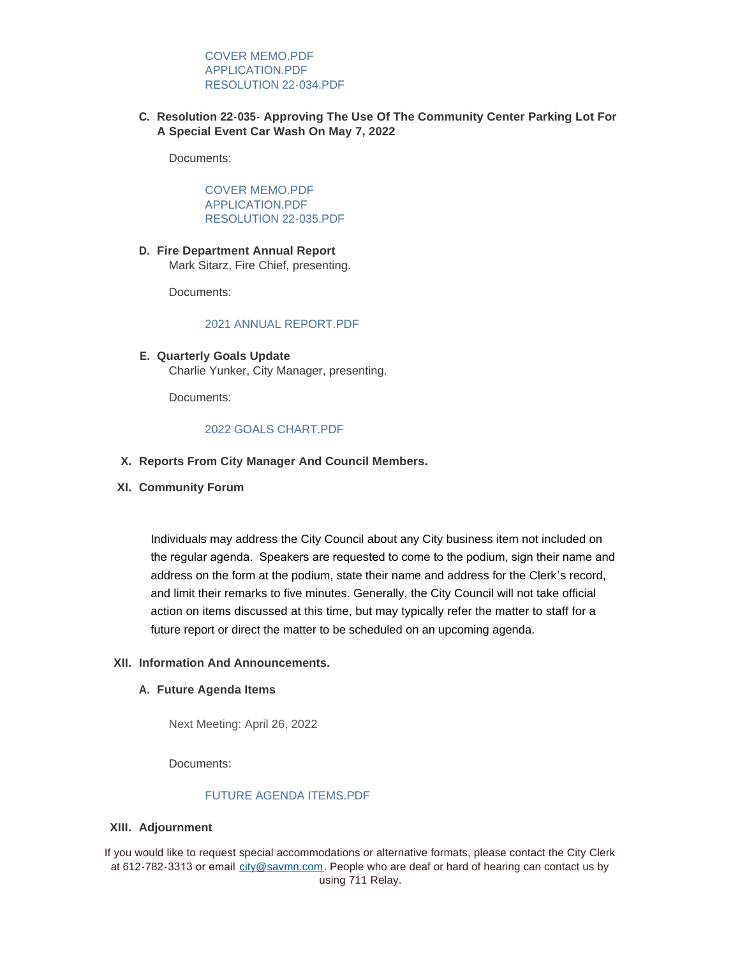[COVER MEMO.PDF](http://www.savmn.com/AgendaCenter/ViewFile/Item/857?fileID=6825) [APPLICATION.PDF](http://www.savmn.com/AgendaCenter/ViewFile/Item/857?fileID=6805) [RESOLUTION 22-034.PDF](http://www.savmn.com/AgendaCenter/ViewFile/Item/857?fileID=6824)

**Resolution 22-035- Approving The Use Of The Community Center Parking Lot For C. A Special Event Car Wash On May 7, 2022**

Documents:

[COVER MEMO.PDF](http://www.savmn.com/AgendaCenter/ViewFile/Item/861?fileID=6826) [APPLICATION.PDF](http://www.savmn.com/AgendaCenter/ViewFile/Item/861?fileID=6827) [RESOLUTION 22-035.PDF](http://www.savmn.com/AgendaCenter/ViewFile/Item/861?fileID=6828)

**Fire Department Annual Report D.** Mark Sitarz, Fire Chief, presenting.

Documents:

#### [2021 ANNUAL REPORT.PDF](http://www.savmn.com/AgendaCenter/ViewFile/Item/879?fileID=6836)

**Quarterly Goals Update E.** Charlie Yunker, City Manager, presenting.

Documents:

#### [2022 GOALS CHART.PDF](http://www.savmn.com/AgendaCenter/ViewFile/Item/878?fileID=6835)

- **Reports From City Manager And Council Members. X.**
- **Community Forum XI.**

Individuals may address the City Council about any City business item not included on the regular agenda. Speakers are requested to come to the podium, sign their name and address on the form at the podium, state their name and address for the Clerk's record, and limit their remarks to five minutes. Generally, the City Council will not take official action on items discussed at this time, but may typically refer the matter to staff for a future report or direct the matter to be scheduled on an upcoming agenda.

#### **Information And Announcements. XII.**

#### **Future Agenda Items A.**

Next Meeting: April 26, 2022

Documents:

# [FUTURE AGENDA ITEMS.PDF](http://www.savmn.com/AgendaCenter/ViewFile/Item/880?fileID=6834)

#### **Adjournment XIII.**

If you would like to request special accommodations or alternative formats, please contact the City Clerk at 612-782-3313 or email [city@savmn.com](mailto:city@savmn.com). People who are deaf or hard of hearing can contact us by using 711 Relay.